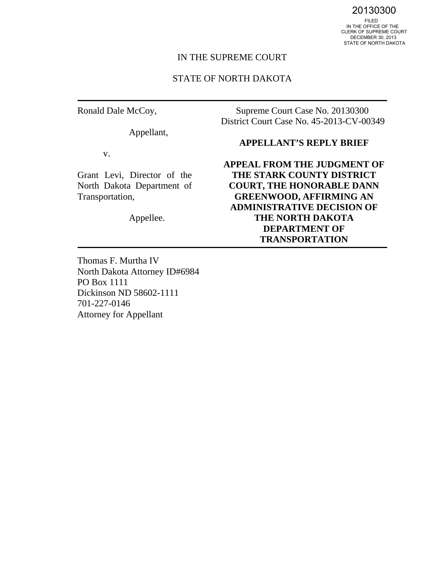20130300<br>FILED<br>IN THE OFFICE OF THE CLERK OF SUPREME COURT DECEMBER 30, 2013 STATE OF NORTH DAKOTA

#### IN THE SUPREME COURT

#### STATE OF NORTH DAKOTA

Ronald Dale McCoy,

Appellant,

v.

Grant Levi, Director of the North Dakota Department of Transportation,

Appellee.

Supreme Court Case No. 20130300 District Court Case No. 45-2013-CV-00349

## **APPELLANT'S REPLY BRIEF**

**APPEAL FROM THE JUDGMENT OF THE STARK COUNTY DISTRICT COURT, THE HONORABLE DANN GREENWOOD, AFFIRMING AN ADMINISTRATIVE DECISION OF THE NORTH DAKOTA DEPARTMENT OF TRANSPORTATION** 

Thomas F. Murtha IV North Dakota Attorney ID#6984 PO Box 1111 Dickinson ND 58602-1111 701-227-0146 Attorney for Appellant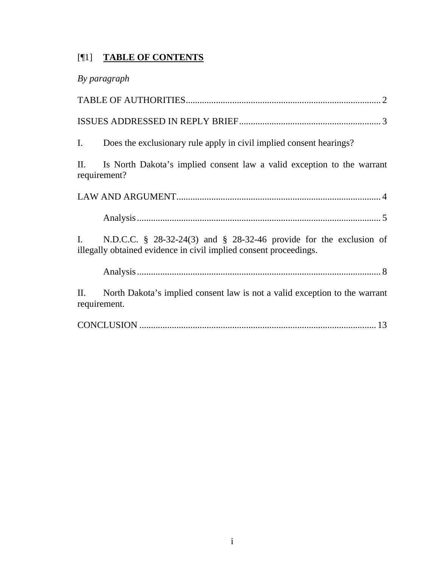# [¶1] **TABLE OF CONTENTS**

| By paragraph                                                                                                                                  |
|-----------------------------------------------------------------------------------------------------------------------------------------------|
|                                                                                                                                               |
|                                                                                                                                               |
| Does the exclusionary rule apply in civil implied consent hearings?<br>$\mathbf{I}$ .                                                         |
| Is North Dakota's implied consent law a valid exception to the warrant<br>$\prod$ .<br>requirement?                                           |
|                                                                                                                                               |
|                                                                                                                                               |
| N.D.C.C. § 28-32-24(3) and § 28-32-46 provide for the exclusion of<br>L.<br>illegally obtained evidence in civil implied consent proceedings. |
|                                                                                                                                               |
| North Dakota's implied consent law is not a valid exception to the warrant<br>П.<br>requirement.                                              |
|                                                                                                                                               |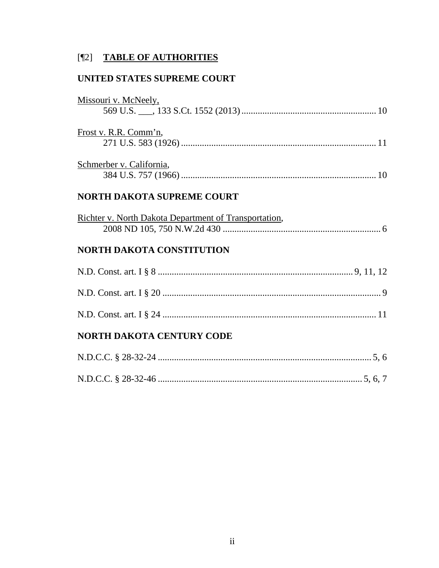# [¶2] TABLE OF AUTHORITIES

# UNITED STATES SUPREME COURT

| Missouri v. McNeely,                                  |  |
|-------------------------------------------------------|--|
| Frost v. R.R. Comm'n,                                 |  |
| Schmerber v. California,                              |  |
| <b>NORTH DAKOTA SUPREME COURT</b>                     |  |
| Richter v. North Dakota Department of Transportation, |  |
| <b>NORTH DAKOTA CONSTITUTION</b>                      |  |
|                                                       |  |
|                                                       |  |
|                                                       |  |
| <b>NORTH DAKOTA CENTURY CODE</b>                      |  |
|                                                       |  |
|                                                       |  |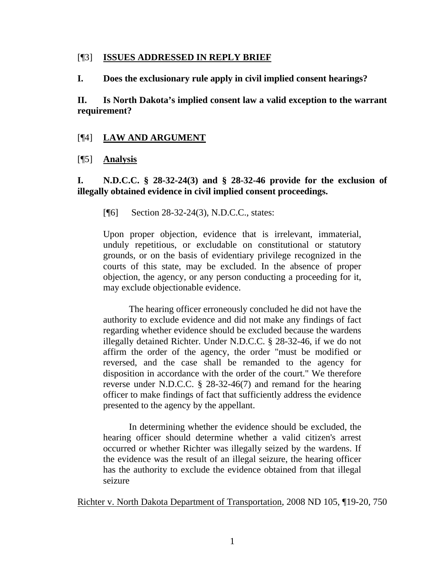#### [¶3] **ISSUES ADDRESSED IN REPLY BRIEF**

**I. Does the exclusionary rule apply in civil implied consent hearings?** 

**II. Is North Dakota's implied consent law a valid exception to the warrant requirement?** 

# [¶4] **LAW AND ARGUMENT**

# [¶5] **Analysis**

**I. N.D.C.C. § 28-32-24(3) and § 28-32-46 provide for the exclusion of illegally obtained evidence in civil implied consent proceedings.** 

[¶6] Section 28-32-24(3), N.D.C.C., states:

Upon proper objection, evidence that is irrelevant, immaterial, unduly repetitious, or excludable on constitutional or statutory grounds, or on the basis of evidentiary privilege recognized in the courts of this state, may be excluded. In the absence of proper objection, the agency, or any person conducting a proceeding for it, may exclude objectionable evidence.

The hearing officer erroneously concluded he did not have the authority to exclude evidence and did not make any findings of fact regarding whether evidence should be excluded because the wardens illegally detained Richter. Under N.D.C.C. § 28-32-46, if we do not affirm the order of the agency, the order "must be modified or reversed, and the case shall be remanded to the agency for disposition in accordance with the order of the court." We therefore reverse under N.D.C.C. § 28-32-46(7) and remand for the hearing officer to make findings of fact that sufficiently address the evidence presented to the agency by the appellant.

In determining whether the evidence should be excluded, the hearing officer should determine whether a valid citizen's arrest occurred or whether Richter was illegally seized by the wardens. If the evidence was the result of an illegal seizure, the hearing officer has the authority to exclude the evidence obtained from that illegal seizure

Richter v. North Dakota Department of Transportation, 2008 ND 105, ¶19-20, 750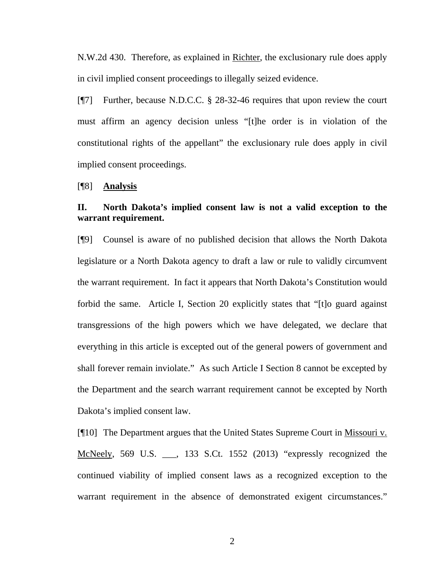N.W.2d 430. Therefore, as explained in Richter, the exclusionary rule does apply in civil implied consent proceedings to illegally seized evidence.

[¶7] Further, because N.D.C.C. § 28-32-46 requires that upon review the court must affirm an agency decision unless "[t]he order is in violation of the constitutional rights of the appellant" the exclusionary rule does apply in civil implied consent proceedings.

[¶8] **Analysis** 

## **II. North Dakota's implied consent law is not a valid exception to the warrant requirement.**

[¶9] Counsel is aware of no published decision that allows the North Dakota legislature or a North Dakota agency to draft a law or rule to validly circumvent the warrant requirement. In fact it appears that North Dakota's Constitution would forbid the same. Article I, Section 20 explicitly states that "[t]o guard against transgressions of the high powers which we have delegated, we declare that everything in this article is excepted out of the general powers of government and shall forever remain inviolate." As such Article I Section 8 cannot be excepted by the Department and the search warrant requirement cannot be excepted by North Dakota's implied consent law.

[¶10] The Department argues that the United States Supreme Court in Missouri v. McNeely, 569 U.S. \_\_\_, 133 S.Ct. 1552 (2013) "expressly recognized the continued viability of implied consent laws as a recognized exception to the warrant requirement in the absence of demonstrated exigent circumstances."

2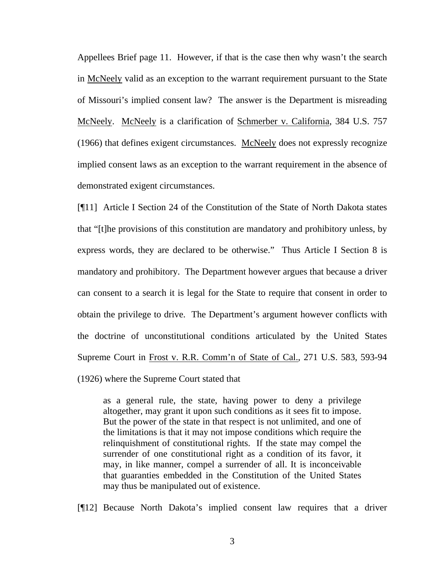Appellees Brief page 11. However, if that is the case then why wasn't the search in McNeely valid as an exception to the warrant requirement pursuant to the State of Missouri's implied consent law? The answer is the Department is misreading McNeely. McNeely is a clarification of <u>Schmerber v. California</u>, 384 U.S. 757 (1966) that defines exigent circumstances. McNeely does not expressly recognize implied consent laws as an exception to the warrant requirement in the absence of demonstrated exigent circumstances.

[¶11] Article I Section 24 of the Constitution of the State of North Dakota states that "[t]he provisions of this constitution are mandatory and prohibitory unless, by express words, they are declared to be otherwise." Thus Article I Section 8 is mandatory and prohibitory. The Department however argues that because a driver can consent to a search it is legal for the State to require that consent in order to obtain the privilege to drive. The Department's argument however conflicts with the doctrine of unconstitutional conditions articulated by the United States Supreme Court in Frost v. R.R. Comm'n of State of Cal., 271 U.S. 583, 593-94

(1926) where the Supreme Court stated that

as a general rule, the state, having power to deny a privilege altogether, may grant it upon such conditions as it sees fit to impose. But the power of the state in that respect is not unlimited, and one of the limitations is that it may not impose conditions which require the relinquishment of constitutional rights. If the state may compel the surrender of one constitutional right as a condition of its favor, it may, in like manner, compel a surrender of all. It is inconceivable that guaranties embedded in the Constitution of the United States may thus be manipulated out of existence.

[¶12] Because North Dakota's implied consent law requires that a driver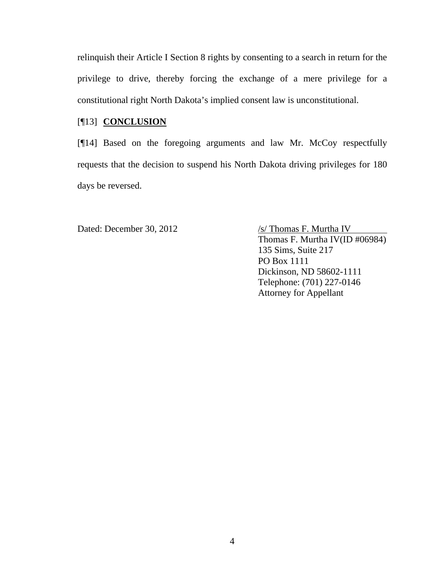relinquish their Article I Section 8 rights by consenting to a search in return for the privilege to drive, thereby forcing the exchange of a mere privilege for a constitutional right North Dakota's implied consent law is unconstitutional.

# [¶13] **CONCLUSION**

[¶14] Based on the foregoing arguments and law Mr. McCoy respectfully requests that the decision to suspend his North Dakota driving privileges for 180 days be reversed.

Dated: December 30, 2012 /s/ Thomas F. Murtha IV

Thomas F. Murtha IV(ID #06984) 135 Sims, Suite 217 PO Box 1111 Dickinson, ND 58602-1111 Telephone: (701) 227-0146 Attorney for Appellant